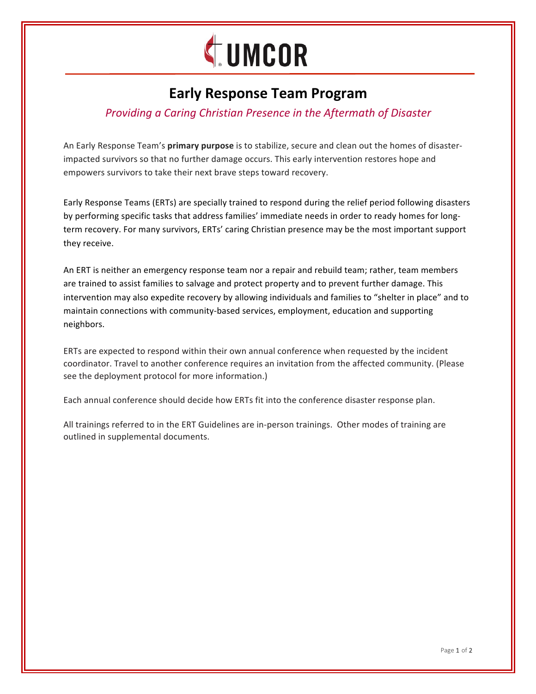

# **Early Response Team Program**

# **Providing a Caring Christian Presence in the Aftermath of Disaster**

An Early Response Team's **primary purpose** is to stabilize, secure and clean out the homes of disasterimpacted survivors so that no further damage occurs. This early intervention restores hope and empowers survivors to take their next brave steps toward recovery.

Early Response Teams (ERTs) are specially trained to respond during the relief period following disasters by performing specific tasks that address families' immediate needs in order to ready homes for longterm recovery. For many survivors, ERTs' caring Christian presence may be the most important support they receive.

An ERT is neither an emergency response team nor a repair and rebuild team; rather, team members are trained to assist families to salvage and protect property and to prevent further damage. This intervention may also expedite recovery by allowing individuals and families to "shelter in place" and to maintain connections with community-based services, employment, education and supporting neighbors.

ERTs are expected to respond within their own annual conference when requested by the incident coordinator. Travel to another conference requires an invitation from the affected community. (Please see the deployment protocol for more information.)

Each annual conference should decide how ERTs fit into the conference disaster response plan.

All trainings referred to in the ERT Guidelines are in-person trainings. Other modes of training are outlined in supplemental documents.